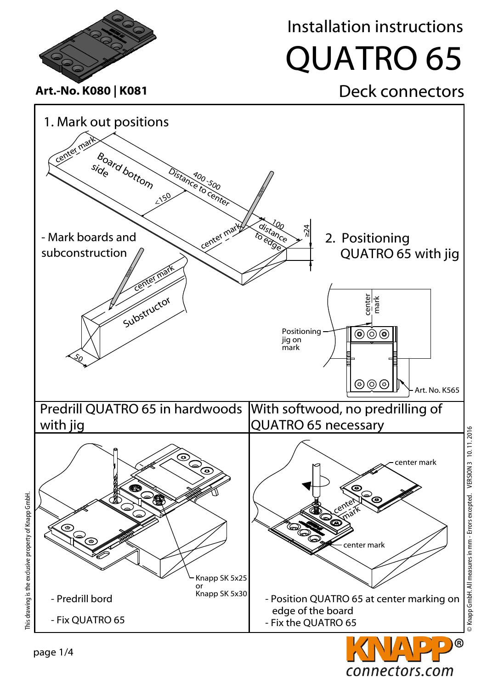



1. Mark out positions

Installation instructions

## QUATRO 65

## Art.-No. K080 | K081 **Deck connectors**

© Knapp GmbH. All measures in mm - Errors excepted. VERSION 3 10. 11. 2016

> Knapp GmbH. All measures in mm - Errors excepted. VERSION 3 10.11.2016

connectors.com

This drawing is the exclusive property of Knapp GmbH.

page 1/4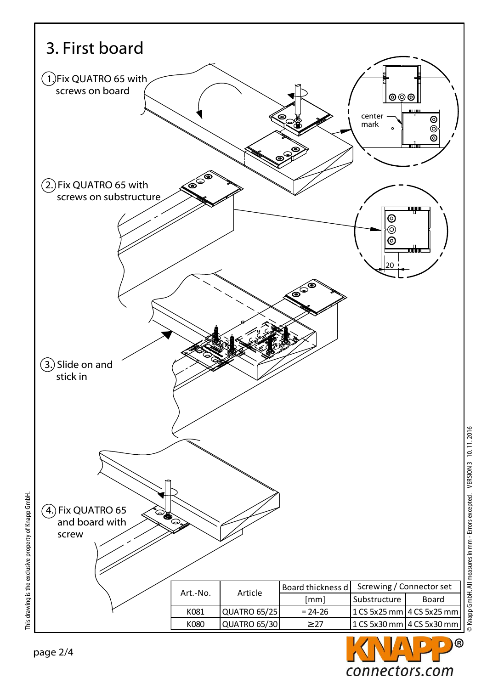



© Knapp GmbH. All measures in mm - Errors excepted. VERSION 3 10. 11. 2016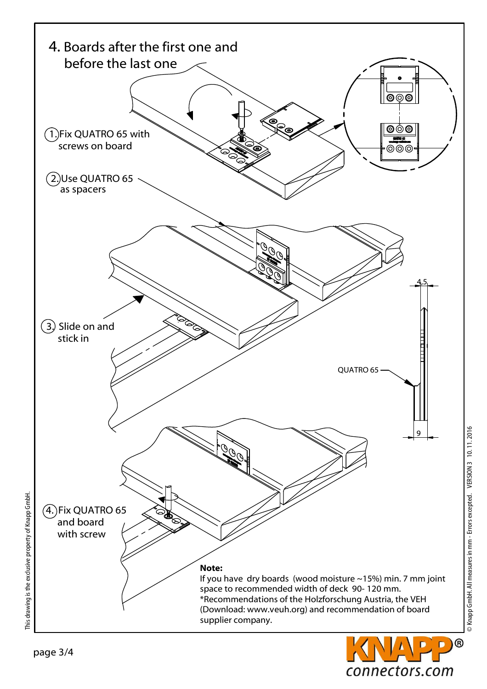

© Knapp GmbH. All measures in mm - Errors excepted. VERSION 3 10.11.2016 © Knapp GmbH. All measures in mm - Errors excepted. VERSION 3 10. 11. 2016

connectors.com

This drawing is the exclusive property of Knapp GmbH.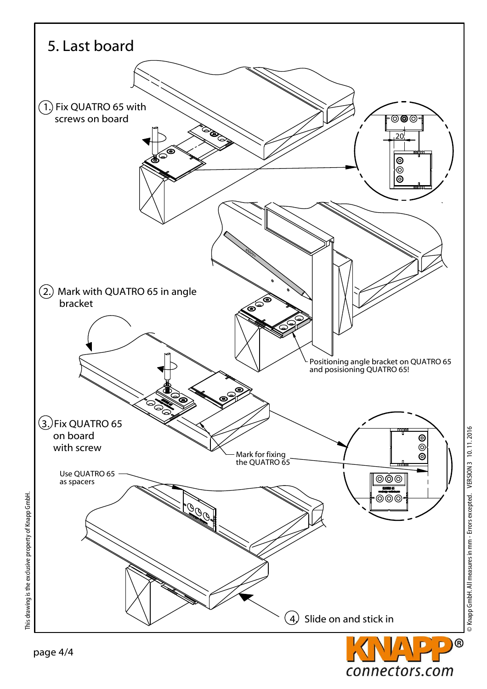

connectors.com

This drawing is the exclusive property of Knapp GmbH.

This drawing is the exclusive property of Knapp GmbH.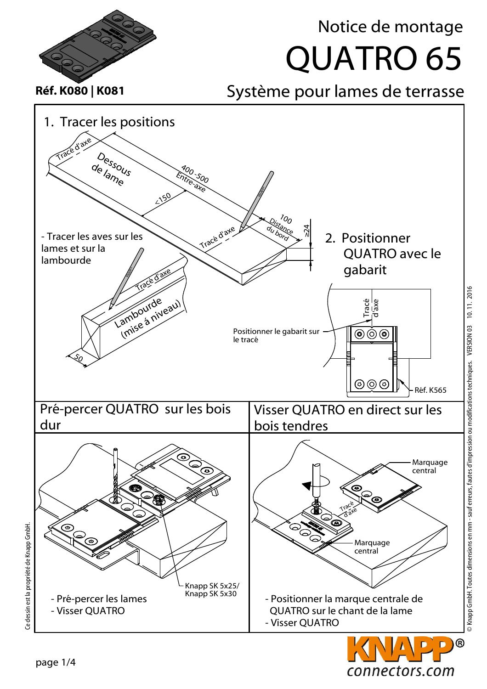



1. Tracer les positions

Tracé d'axe

## QUATRO 65 Notice de montage

Réf. K080 | K081 Système pour lames de terrasse



Ce dessin est la propriété de Knapp GmbH. Ce dessin est la propriété de Knapp GmbH.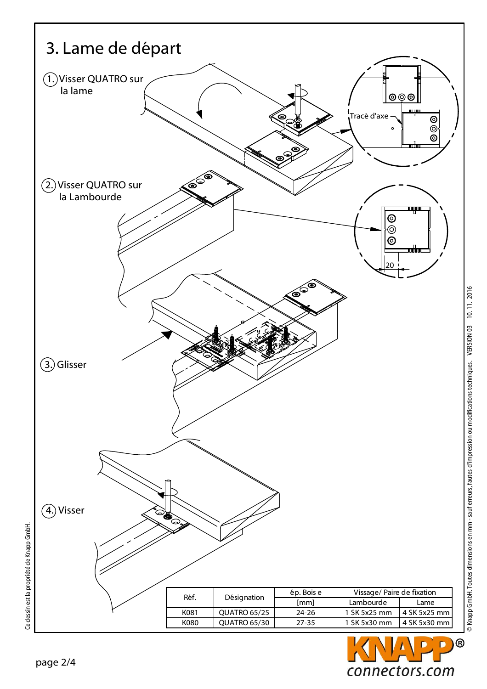

D

connectors.com

Ce dessin est la propriété de Knapp GmbH.

Ce dessin est la propriété de Knapp GmbH.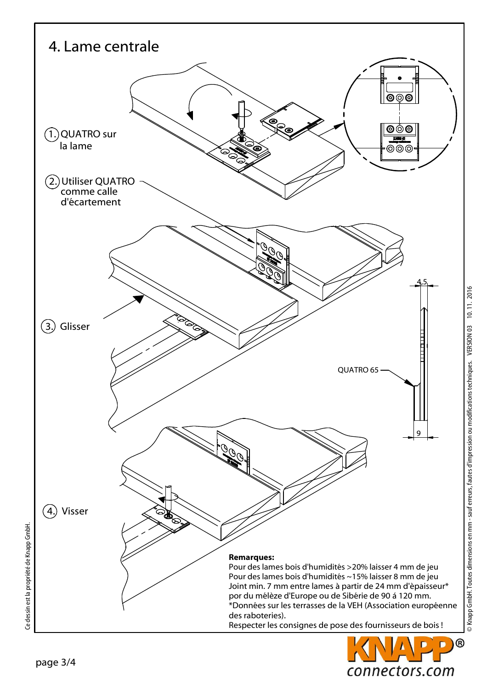![](_page_6_Figure_0.jpeg)

![](_page_6_Picture_1.jpeg)

© Knapp GmbH. Toutes dimensions en mm - sauf erreurs, fautes d'impression ou modifications techniques. VERSION 03 10. 11. 2016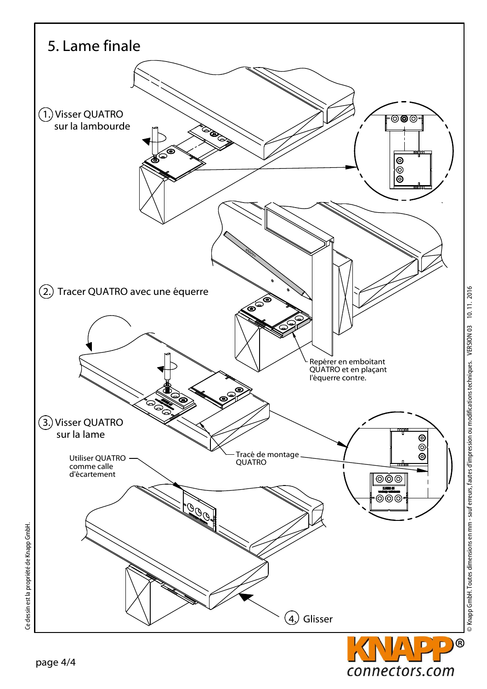![](_page_7_Figure_0.jpeg)

connectors.com

Ce dessin est la propriété de Knapp GmbH.

Ce dessin est la propriété de Knapp GmbH.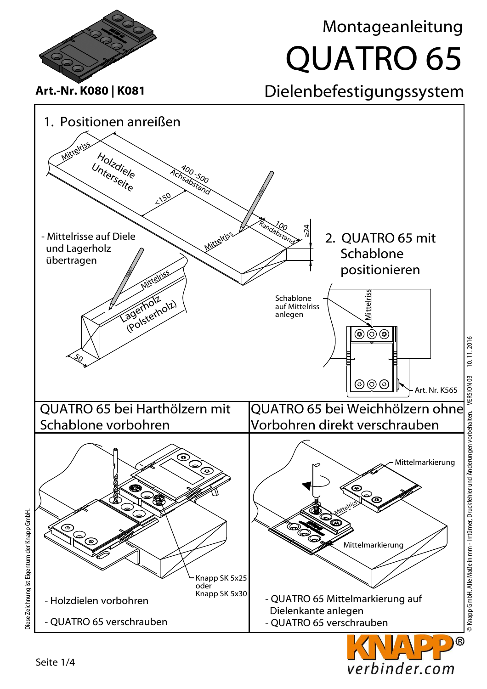![](_page_8_Figure_0.jpeg)

![](_page_8_Picture_1.jpeg)

Diese Zeichnung ist Eigentum der Knapp GmbH. Diese Zeichnung ist Eigentum der Knapp GmbH.

![](_page_8_Picture_3.jpeg)

## QUATRO 65 Montageanleitung

Seite 1/4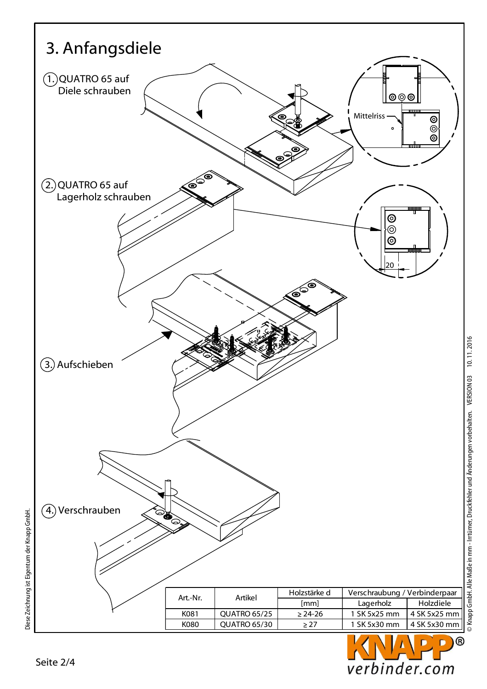![](_page_9_Figure_0.jpeg)

![](_page_9_Picture_1.jpeg)

Diese Zeichnung ist Eigentum der Knapp GmbH.

Diese Zeichnung ist Eigentum der Knapp GmbH.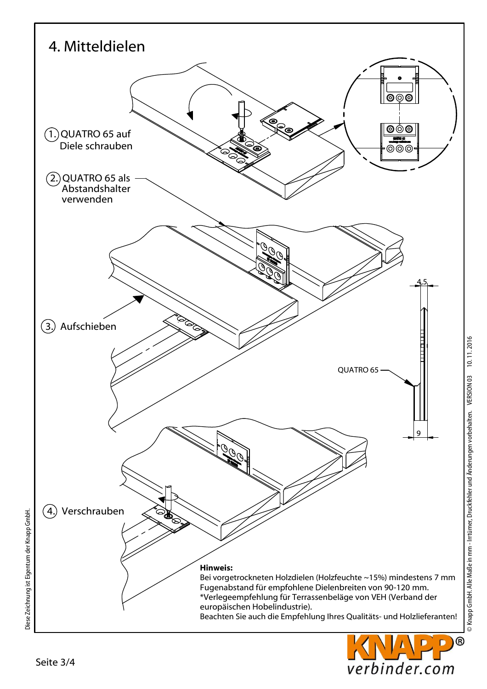![](_page_10_Figure_0.jpeg)

verbinder.com

Diese Zeichnung ist Eigentum der Knapp GmbH.

Diese Zeichnung ist Eigentum der Knapp GmbH.